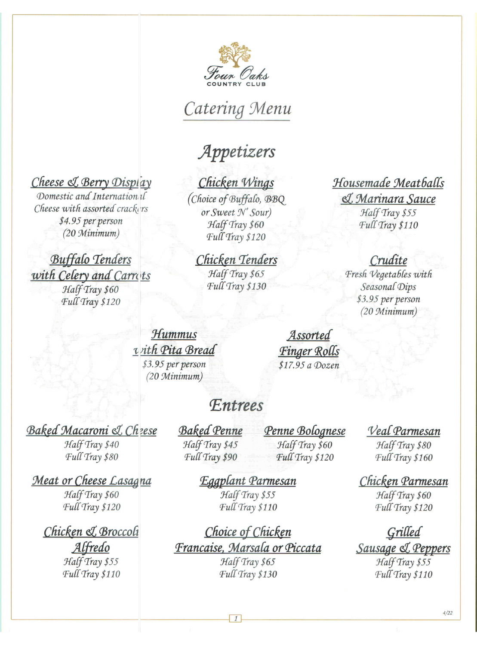

# Catering Menu

## Appetizers

### Cheese & Berry Display

Domestic and Internation if Cheese with assorted crackers \$4.95 per person  $(20\text{ Minimum})$ 

**Buffalo Tenders** with Celery and Carrots Half Tray \$60 Full Tray \$120

## Chicken Wings

(Choice of Buffalo, BBQ or Sweet N' Sour) Half Tray \$60 Full Tray \$120

#### Chicken Tenders Half Tray \$65

Full Tray \$130

### Housemade Meatballs

& Marinara Sauce Half Tray \$55 Full Tray \$110

### Crudite

Fresh Vegetables with Seasonal Dips \$3.95 per person (20 Minimum)

Hummus vith Pita Bread \$3.95 per person  $(20$  Minimum)

Assorted Finger Rolls \$17.95 a Dozen

## **F.ntrees**

**Baked Macaroni & Cheese** 

Half Tray \$40 Full Tray \$80

Meat or Cheese Lasagna Half Tray \$60

Full Tray \$120

#### Chicken & Broccoli Alfredo

Half Tray \$55 Full Tray \$110 **Baked Penne** Half Tray \$45 Full Tray \$90

Penne Bolognese Half Tray \$60 Full Tray \$120

### Veal Parmesan

Half Tray \$80 Full Tray \$160

### Chicken Parmesan

Half Tray \$60 Full Tray \$120

Grilled Sausage & Peppers Half Tray \$55 Full Tray \$110

Eggplant Parmesan Half Tray \$55 Full Tray \$110

Choice of Chicken Francaise, Marsala or Piccata Half Tray \$65 Full Tray \$130